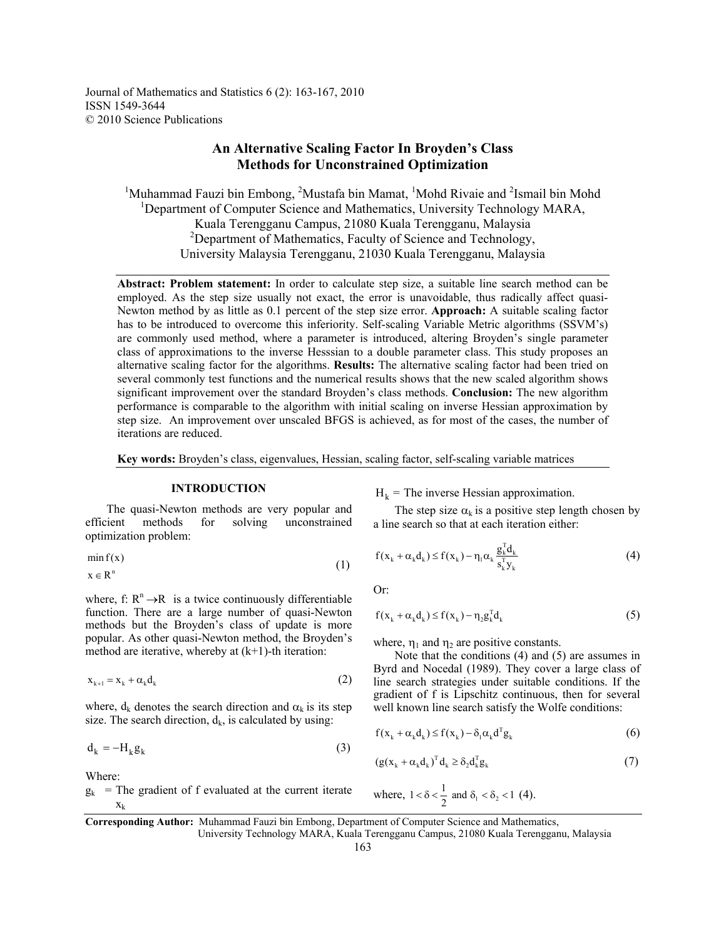# **An Alternative Scaling Factor In Broyden's Class Methods for Unconstrained Optimization**

<sup>1</sup>Muhammad Fauzi bin Embong, <sup>2</sup>Mustafa bin Mamat, <sup>1</sup>Mohd Rivaie and <sup>2</sup>Ismail bin Mohd <sup>1</sup>Department of Computer Science and Mathematics, University Technology MARA, Kuala Terengganu Campus, 21080 Kuala Terengganu, Malaysia 2 Department of Mathematics, Faculty of Science and Technology, University Malaysia Terengganu, 21030 Kuala Terengganu, Malaysia

**Abstract: Problem statement:** In order to calculate step size, a suitable line search method can be employed. As the step size usually not exact, the error is unavoidable, thus radically affect quasi-Newton method by as little as 0.1 percent of the step size error. **Approach:** A suitable scaling factor has to be introduced to overcome this inferiority. Self-scaling Variable Metric algorithms (SSVM's) are commonly used method, where a parameter is introduced, altering Broyden's single parameter class of approximations to the inverse Hesssian to a double parameter class. This study proposes an alternative scaling factor for the algorithms. **Results:** The alternative scaling factor had been tried on several commonly test functions and the numerical results shows that the new scaled algorithm shows significant improvement over the standard Broyden's class methods. **Conclusion:** The new algorithm performance is comparable to the algorithm with initial scaling on inverse Hessian approximation by step size. An improvement over unscaled BFGS is achieved, as for most of the cases, the number of iterations are reduced.

**Key words:** Broyden's class, eigenvalues, Hessian, scaling factor, self-scaling variable matrices

# **INTRODUCTION**

 The quasi-Newton methods are very popular and efficient methods for solving unconstrained optimization problem:

$$
\min f(x) x \in R^n
$$
 (1)

$$
x \in R^n
$$

where, f:  $R^n \rightarrow R$  is a twice continuously differentiable function. There are a large number of quasi-Newton methods but the Broyden's class of update is more popular. As other quasi-Newton method, the Broyden's method are iterative, whereby at  $(k+1)$ -th iteration:

$$
\mathbf{x}_{k+1} = \mathbf{x}_k + \alpha_k \mathbf{d}_k \tag{2}
$$

where,  $d_k$  denotes the search direction and  $\alpha_k$  is its step size. The search direction,  $d_k$ , is calculated by using:

$$
\mathbf{d}_{k} = -\mathbf{H}_{k}\mathbf{g}_{k} \tag{3}
$$

Where:

 $g_k$  = The gradient of f evaluated at the current iterate  $X_k$ 

 $H_k$  = The inverse Hessian approximation.

The step size  $\alpha_k$  is a positive step length chosen by a line search so that at each iteration either:

$$
f(x_k + \alpha_k d_k) \le f(x_k) - \eta_1 \alpha_k \frac{g_k^T d_k}{s_k^T y_k}
$$
\n(4)

Or:

$$
f(x_k + \alpha_k d_k) \le f(x_k) - \eta_2 g_k^T d_k \tag{5}
$$

where,  $\eta_1$  and  $\eta_2$  are positive constants.

 Note that the conditions (4) and (5) are assumes in Byrd and Nocedal (1989). They cover a large class of line search strategies under suitable conditions. If the gradient of f is Lipschitz continuous, then for several well known line search satisfy the Wolfe conditions:

$$
f(x_k + \alpha_k d_k) \le f(x_k) - \delta_1 \alpha_k d^T g_k
$$
 (6)

$$
(g(x_k + \alpha_k d_k)^T d_k \ge \delta_2 d_k^T g_k \tag{7}
$$

where, 
$$
1 < \delta < \frac{1}{2}
$$
 and  $\delta_1 < \delta_2 < 1$  (4).

**Corresponding Author:** Muhammad Fauzi bin Embong, Department of Computer Science and Mathematics,

University Technology MARA, Kuala Terengganu Campus, 21080 Kuala Terengganu, Malaysia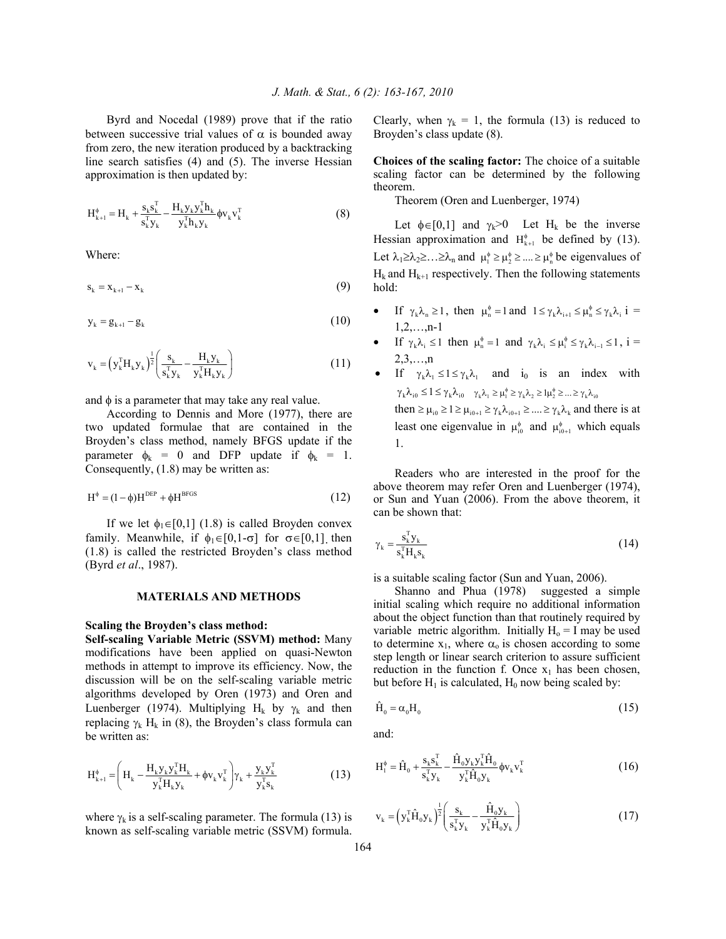Byrd and Nocedal (1989) prove that if the ratio between successive trial values of  $\alpha$  is bounded away from zero, the new iteration produced by a backtracking line search satisfies (4) and (5). The inverse Hessian approximation is then updated by:

$$
H_{k+1}^{\phi} = H_k + \frac{s_k s_k^T}{s_k^T y_k} - \frac{H_k y_k y_k^T h_k}{y_k^T h_k y_k} \phi v_k v_k^T
$$
 (8)

Where:

$$
\mathbf{s}_{k} = \mathbf{x}_{k+1} - \mathbf{x}_{k} \tag{9}
$$

$$
y_k = g_{k+1} - g_k \tag{10}
$$

$$
v_{k} = (y_{k}^{T}H_{k}y_{k})^{\frac{1}{2}} \left(\frac{s_{k}}{s_{k}^{T}y_{k}} - \frac{H_{k}y_{k}}{y_{k}^{T}H_{k}y_{k}}\right)
$$
(11)

and  $\phi$  is a parameter that may take any real value.

 According to Dennis and More (1977), there are two updated formulae that are contained in the Broyden's class method, namely BFGS update if the parameter  $\phi_k = 0$  and DFP update if  $\phi_k = 1$ . Consequently, (1.8) may be written as:

$$
H^{\phi} = (1 - \phi)H^{DEF} + \phi H^{BFGS}
$$
 (12)

If we let  $\phi_1 \in [0,1]$  (1.8) is called Broyden convex family. Meanwhile, if  $\phi_1 \in [0,1-\sigma]$  for  $\sigma \in [0,1]$  then (1.8) is called the restricted Broyden's class method (Byrd *et al*., 1987).

#### **MATERIALS AND METHODS**

### **Scaling the Broyden's class method:**

**Self-scaling Variable Metric (SSVM) method:** Many modifications have been applied on quasi-Newton methods in attempt to improve its efficiency. Now, the discussion will be on the self-scaling variable metric algorithms developed by Oren (1973) and Oren and Luenberger (1974). Multiplying H<sub>k</sub> by  $\gamma_k$  and then replacing  $\gamma_k$  H<sub>k</sub> in (8), the Broyden's class formula can be written as:

$$
H_{k+1}^{\phi} = \left( H_k - \frac{H_k y_k y_k^T H_k}{y_k^T H_k y_k} + \phi v_k v_k^T \right) \gamma_k + \frac{y_k y_k^T}{y_k^T s_k} \tag{13}
$$

where  $\gamma_k$  is a self-scaling parameter. The formula (13) is known as self-scaling variable metric (SSVM) formula. Clearly, when  $\gamma_k = 1$ , the formula (13) is reduced to Broyden's class update (8).

**Choices of the scaling factor:** The choice of a suitable scaling factor can be determined by the following theorem.

Theorem (Oren and Luenberger, 1974)

Let  $\phi \in [0,1]$  and  $\gamma_k > 0$  Let H<sub>k</sub> be the inverse Hessian approximation and  $H_{k+1}^{\phi}$  be defined by (13). Let  $\lambda_1 \geq \lambda_2 \geq \ldots \geq \lambda_n$  and  $\mu_1^* \geq \mu_2^* \geq \ldots \geq \mu_n^*$  be eigenvalues of  $H_k$  and  $H_{k+1}$  respectively. Then the following statements hold:

- If  $\gamma_k \lambda_n \ge 1$ , then  $\mu_n^{\phi} = 1$  and  $1 \le \gamma_k \lambda_{i+1} \le \mu_n^{\phi} \le \gamma_k \lambda_i$  i =  $1,2,...,n-1$
- If  $\gamma_k \lambda_i \leq 1$  then  $\mu_n^* = 1$  and  $\gamma_k \lambda_i \leq \mu_i^* \leq \gamma_k \lambda_{i-1} \leq 1$ ,  $i =$  $2,3,...,n$
- If  $\gamma_{\nu} \lambda_1 \leq 1 \leq \gamma_{\nu} \lambda_1$  and i<sub>0</sub> is an index with  $\gamma_k \lambda_{i0} \leq 1 \leq \gamma_k \lambda_{i0}$   $\gamma_k \lambda_{i0} \geq \mu_1^{\phi} \geq \gamma_k \lambda_{i0} \geq 1$  $\mu_2^{\phi} \geq ... \geq \gamma_k \lambda_{i0}$ then  $\geq \mu_{i0} \geq 1 \geq \mu_{i0+1} \geq \gamma_k \lambda_{i0+1} \geq ... \geq \gamma_k \lambda_k$  and there is at

least one eigenvalue in  $\mu_{i0}^{\phi}$  and  $\mu_{i0+1}^{\phi}$  which equals 1.

 Readers who are interested in the proof for the above theorem may refer Oren and Luenberger (1974), or Sun and Yuan (2006). From the above theorem, it can be shown that:

$$
\gamma_{\mathbf{k}} = \frac{\mathbf{s}_{\mathbf{k}}^{\mathrm{T}} \mathbf{y}_{\mathbf{k}}}{\mathbf{s}_{\mathbf{k}}^{\mathrm{T}} \mathbf{H}_{\mathbf{k}} \mathbf{s}_{\mathbf{k}}} \tag{14}
$$

is a suitable scaling factor (Sun and Yuan, 2006).

 Shanno and Phua (1978) suggested a simple initial scaling which require no additional information about the object function than that routinely required by variable metric algorithm. Initially  $H_0 = I$  may be used to determine  $x_1$ , where  $\alpha_0$  is chosen according to some step length or linear search criterion to assure sufficient reduction in the function f. Once  $x_1$  has been chosen, but before  $H_1$  is calculated,  $H_0$  now being scaled by:

$$
\hat{H}_0 = \alpha_0 H_0 \tag{15}
$$

and:

$$
H_1^{\phi} = \hat{H}_0 + \frac{s_k s_k^T}{s_k^T y_k} - \frac{\hat{H}_0 y_k y_k^T \hat{H}_0}{y_k^T \hat{H}_0 y_k} \phi v_k v_k^T
$$
 (16)

$$
v_{k} = (y_{k}^{T} \hat{H}_{0} y_{k})^{\frac{1}{2}} \left( \frac{s_{k}}{s_{k}^{T} y_{k}} - \frac{\hat{H}_{0} y_{k}}{y_{k}^{T} \hat{H}_{0} y_{k}} \right)
$$
(17)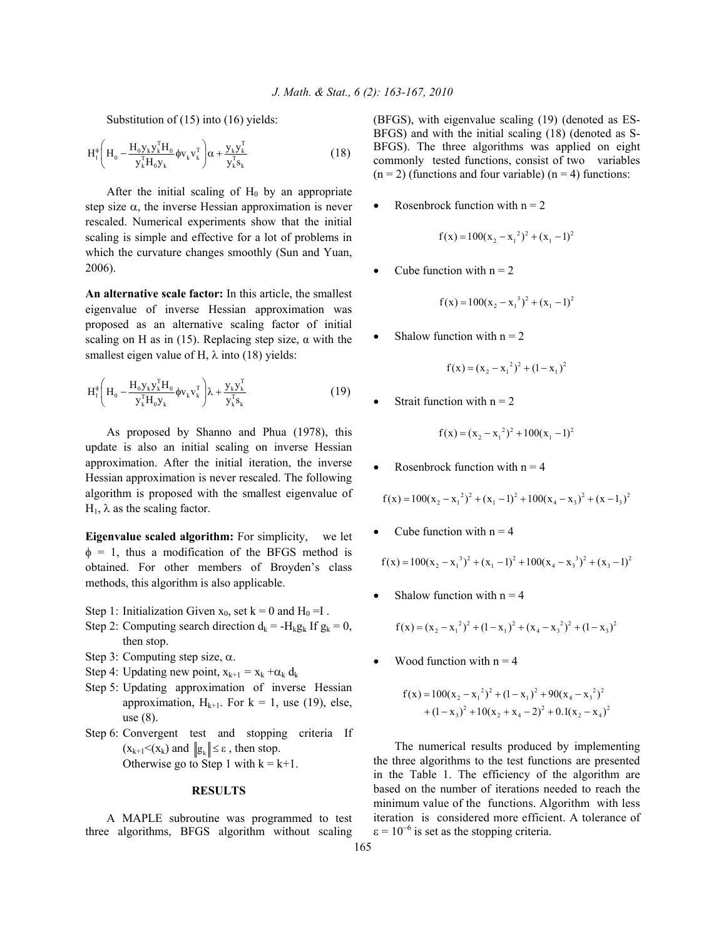Substitution of (15) into (16) yields:

$$
H_1^{\phi} \left( H_0 - \frac{H_0 y_k y_k^{\mathrm{T}} H_0}{y_k^{\mathrm{T}} H_0 y_k} \phi v_k v_k^{\mathrm{T}} \right) \alpha + \frac{y_k y_k^{\mathrm{T}}}{y_k^{\mathrm{T}} s_k} \tag{18}
$$

After the initial scaling of  $H_0$  by an appropriate step size  $\alpha$ , the inverse Hessian approximation is never rescaled. Numerical experiments show that the initial scaling is simple and effective for a lot of problems in which the curvature changes smoothly (Sun and Yuan, 2006).

**An alternative scale factor:** In this article, the smallest eigenvalue of inverse Hessian approximation was proposed as an alternative scaling factor of initial scaling on H as in (15). Replacing step size,  $\alpha$  with the smallest eigen value of H,  $\lambda$  into (18) yields:

$$
H_1^{\phi} \left( H_0 - \frac{H_0 y_k y_k^{\mathrm{T}} H_0}{y_k^{\mathrm{T}} H_0 y_k} \phi v_k v_k^{\mathrm{T}} \right) \lambda + \frac{y_k y_k^{\mathrm{T}}}{y_k^{\mathrm{T}} s_k} \tag{19}
$$

 As proposed by Shanno and Phua (1978), this update is also an initial scaling on inverse Hessian approximation. After the initial iteration, the inverse Hessian approximation is never rescaled. The following algorithm is proposed with the smallest eigenvalue of  $H<sub>1</sub>$ , λ as the scaling factor.

**Eigenvalue scaled algorithm:** For simplicity, we let  $\phi = 1$ , thus a modification of the BFGS method is obtained. For other members of Broyden's class methods, this algorithm is also applicable.

- Step 1: Initialization Given  $x_0$ , set  $k = 0$  and  $H_0 = I$ .
- Step 2: Computing search direction  $d_k = -H_k g_k$  If  $g_k = 0$ , then stop.
- Step 3: Computing step size,  $\alpha$ .
- Step 4: Updating new point,  $x_{k+1} = x_k + \alpha_k d_k$
- Step 5: Updating approximation of inverse Hessian approximation,  $H_{k+1}$ . For  $k = 1$ , use (19), else, use (8).
- Step 6: Convergent test and stopping criteria If  $(x_{k+1} < (x_k)$  and  $||g_k|| \le \varepsilon$ , then stop. Otherwise go to Step 1 with  $k = k+1$ .

## **RESULTS**

 A MAPLE subroutine was programmed to test three algorithms, BFGS algorithm without scaling (BFGS), with eigenvalue scaling (19) (denoted as ES-BFGS) and with the initial scaling (18) (denoted as S-BFGS). The three algorithms was applied on eight commonly tested functions, consist of two variables  $(n = 2)$  (functions and four variable)  $(n = 4)$  functions:

Rosenbrock function with  $n = 2$ 

$$
f(x) = 100(x_2 - x_1^2)^2 + (x_1 - 1)^2
$$

Cube function with  $n = 2$ 

$$
f(x) = 100(x_2 - x_1^3)^2 + (x_1 - 1)^2
$$

Shalow function with  $n = 2$ 

$$
f(x) = (x_2 - x_1^2)^2 + (1 - x_1)^2
$$

Strait function with  $n = 2$ 

$$
f(x) = (x_2 - x_1^2)^2 + 100(x_1 - 1)^2
$$

Rosenbrock function with  $n = 4$ 

$$
f(x) = 100(x_2 - x_1^2)^2 + (x_1 - 1)^2 + 100(x_4 - x_3)^2 + (x - 1_3)^2
$$

Cube function with  $n = 4$ 

$$
f(x) = 100(x_2 - x_1^3)^2 + (x_1 - 1)^2 + 100(x_4 - x_3^3)^2 + (x_3 - 1)^2
$$

Shalow function with  $n = 4$ 

$$
f(x) = (x_2 - x_1^2)^2 + (1 - x_1)^2 + (x_4 - x_3^2)^2 + (1 - x_3)^2
$$

Wood function with  $n = 4$ 

$$
f(x) = 100(x_2 - x_1^2)^2 + (1 - x_1)^2 + 90(x_4 - x_3^2)^2
$$
  
+ 
$$
(1 - x_3)^2 + 10(x_2 + x_4 - 2)^2 + 0.1(x_2 - x_4)^2
$$

 The numerical results produced by implementing the three algorithms to the test functions are presented in the Table 1. The efficiency of the algorithm are based on the number of iterations needed to reach the minimum value of the functions. Algorithm with less iteration is considered more efficient. A tolerance of  $\epsilon = 10^{-6}$  is set as the stopping criteria.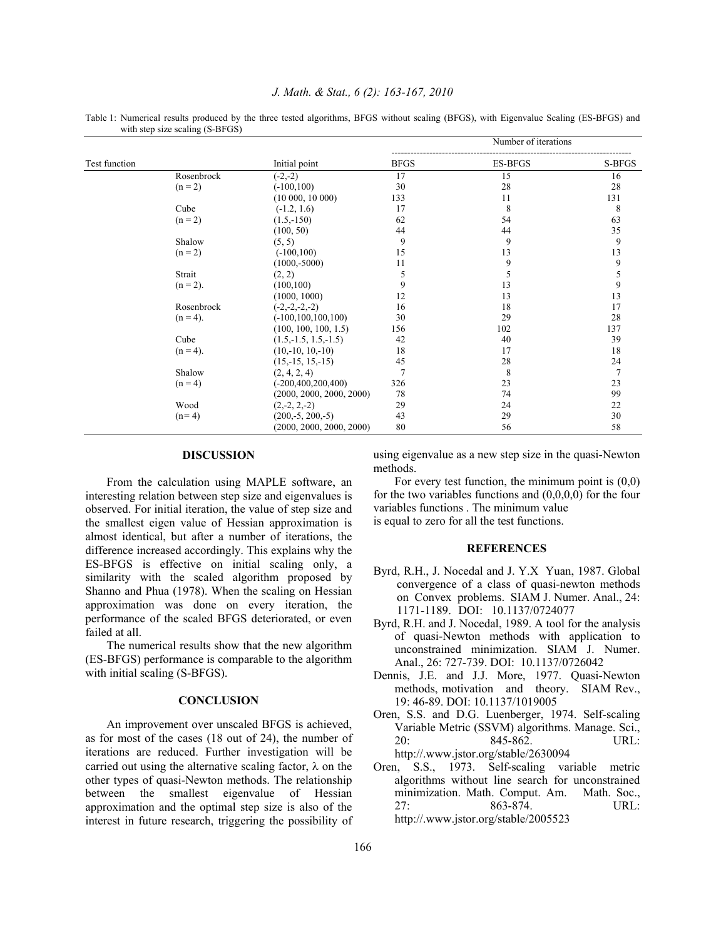Table 1: Numerical results produced by the three tested algorithms, BFGS without scaling (BFGS), with Eigenvalue Scaling (ES-BFGS) and with step size scaling (S-BFGS)

| Test function |             |                          | Number of iterations |                |                |
|---------------|-------------|--------------------------|----------------------|----------------|----------------|
|               |             | Initial point            | <b>BFGS</b>          | <b>ES-BFGS</b> | S-BFGS         |
|               | Rosenbrock  | $(-2,-2)$                | 17                   | 15             | 16             |
|               | $(n = 2)$   | $(-100, 100)$            | 30                   | 28             | 28             |
|               |             | $(10\ 000, 10\ 000)$     | 133                  | 11             | 131            |
|               | Cube        | $(-1.2, 1.6)$            | 17                   | 8              | 8              |
|               | $(n = 2)$   | $(1.5,-150)$             | 62                   | 54             | 63             |
|               |             | (100, 50)                | 44                   | 44             | 35             |
|               | Shalow      | (5, 5)                   | 9                    | 9              | 9              |
|               | $(n = 2)$   | $(-100, 100)$            | 15                   | 13             | 13             |
|               |             | $(1000,-5000)$           | 11                   | 9              | 9              |
|               | Strait      | (2, 2)                   | 5                    | 5              | 5              |
|               | $(n = 2)$ . | (100, 100)               | 9                    | 13             | 9              |
|               |             | (1000, 1000)             | 12                   | 13             | 13             |
|               | Rosenbrock  | $(-2,-2,-2,-2)$          | 16                   | 18             | 17             |
|               | $(n = 4)$ . | $(-100, 100, 100, 100)$  | 30                   | 29             | 28             |
|               |             | (100, 100, 100, 1.5)     | 156                  | 102            | 137            |
|               | Cube        | $(1.5, -1.5, 1.5, -1.5)$ | 42                   | 40             | 39             |
|               | $(n = 4)$ . | $(10,-10, 10,-10)$       | 18                   | 17             | 18             |
|               |             | $(15,-15, 15,-15)$       | 45                   | 28             | 24             |
|               | Shalow      | (2, 4, 2, 4)             | $\overline{7}$       | 8              | $\overline{7}$ |
|               | $(n = 4)$   | $(-200, 400, 200, 400)$  | 326                  | 23             | 23             |
|               |             | (2000, 2000, 2000, 2000) | 78                   | 74             | 99             |
|               | Wood        | $(2,-2, 2,-2)$           | 29                   | 24             | 22             |
|               | $(n=4)$     | $(200,-5, 200,-5)$       | 43                   | 29             | 30             |
|               |             | (2000, 2000, 2000, 2000) | 80                   | 56             | 58             |

#### **DISCUSSION**

 From the calculation using MAPLE software, an interesting relation between step size and eigenvalues is observed. For initial iteration, the value of step size and the smallest eigen value of Hessian approximation is almost identical, but after a number of iterations, the difference increased accordingly. This explains why the ES-BFGS is effective on initial scaling only, a similarity with the scaled algorithm proposed by Shanno and Phua (1978). When the scaling on Hessian approximation was done on every iteration, the performance of the scaled BFGS deteriorated, or even failed at all.

 The numerical results show that the new algorithm (ES-BFGS) performance is comparable to the algorithm with initial scaling (S-BFGS).

#### **CONCLUSION**

 An improvement over unscaled BFGS is achieved, as for most of the cases (18 out of 24), the number of iterations are reduced. Further investigation will be carried out using the alternative scaling factor,  $\lambda$  on the other types of quasi-Newton methods. The relationship between the smallest eigenvalue of Hessian approximation and the optimal step size is also of the interest in future research, triggering the possibility of

using eigenvalue as a new step size in the quasi-Newton methods.

For every test function, the minimum point is  $(0,0)$ for the two variables functions and (0,0,0,0) for the four variables functions . The minimum value is equal to zero for all the test functions.

# **REFERENCES**

- Byrd, R.H., J. Nocedal and J. Y.X Yuan, 1987. Global convergence of a class of quasi-newton methods on Convex problems. SIAM J. Numer. Anal., 24: 1171-1189. DOI: 10.1137/0724077
- Byrd, R.H. and J. Nocedal, 1989. A tool for the analysis of quasi-Newton methods with application to unconstrained minimization. SIAM J. Numer. Anal., 26: 727-739. DOI: 10.1137/0726042
- Dennis, J.E. and J.J. More, 1977. Quasi-Newton methods, motivation and theory. SIAM Rev., 19: 46-89. DOI: 10.1137/1019005
- Oren, S.S. and D.G. Luenberger, 1974. Self-scaling Variable Metric (SSVM) algorithms. Manage. Sci., 20: 845-862. URL: http://.www.jstor.org/stable/2630094
- Oren, S.S., 1973. Self-scaling variable metric algorithms without line search for unconstrained minimization. Math. Comput. Am. Math. Soc., 27: 863-874. URL: http://.www.jstor.org/stable/2005523